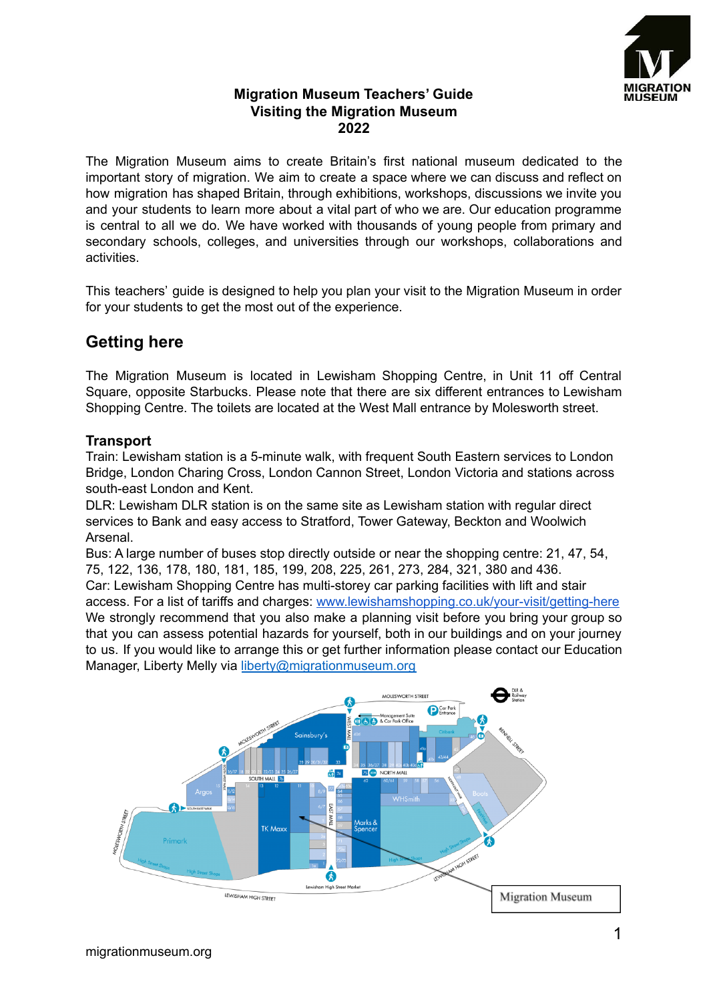

## **Migration Museum Teachers' Guide Visiting the Migration Museum 2022**

The Migration Museum aims to create Britain's first national museum dedicated to the important story of migration. We aim to create a space where we can discuss and reflect on how migration has shaped Britain, through exhibitions, workshops, discussions we invite you and your students to learn more about a vital part of who we are. Our education programme is central to all we do. We have worked with thousands of young people from primary and secondary schools, colleges, and universities through our workshops, collaborations and activities.

This teachers' guide is designed to help you plan your visit to the Migration Museum in order for your students to get the most out of the experience.

# **Getting here**

The Migration Museum is located in Lewisham Shopping Centre, in Unit 11 off Central Square, opposite Starbucks. Please note that there are six different entrances to Lewisham Shopping Centre. The toilets are located at the West Mall entrance by Molesworth street.

## **Transport**

Train: Lewisham station is a 5-minute walk, with frequent South Eastern services to London Bridge, London Charing Cross, London Cannon Street, London Victoria and stations across south-east London and Kent.

DLR: Lewisham DLR station is on the same site as Lewisham station with regular direct services to Bank and easy access to Stratford, Tower Gateway, Beckton and Woolwich Arsenal.

Bus: A large number of buses stop directly outside or near the shopping centre: 21, 47, 54, 75, 122, 136, 178, 180, 181, 185, 199, 208, 225, 261, 273, 284, 321, 380 and 436. Car: Lewisham Shopping Centre has multi-storey car parking facilities with lift and stair access. For a list of tariffs and charges: [www.lewishamshopping.co.uk/your-visit/getting-here](http://www.lewishamshopping.co.uk/your-visit/getting-here) We strongly recommend that you also make a planning visit before you bring your group so that you can assess potential hazards for yourself, both in our buildings and on your journey to us. If you would like to arrange this or get further information please contact our Education Manager, Liberty Melly via [liberty@migrationmuseum.org](mailto:liberty@migrationmuseum.org)

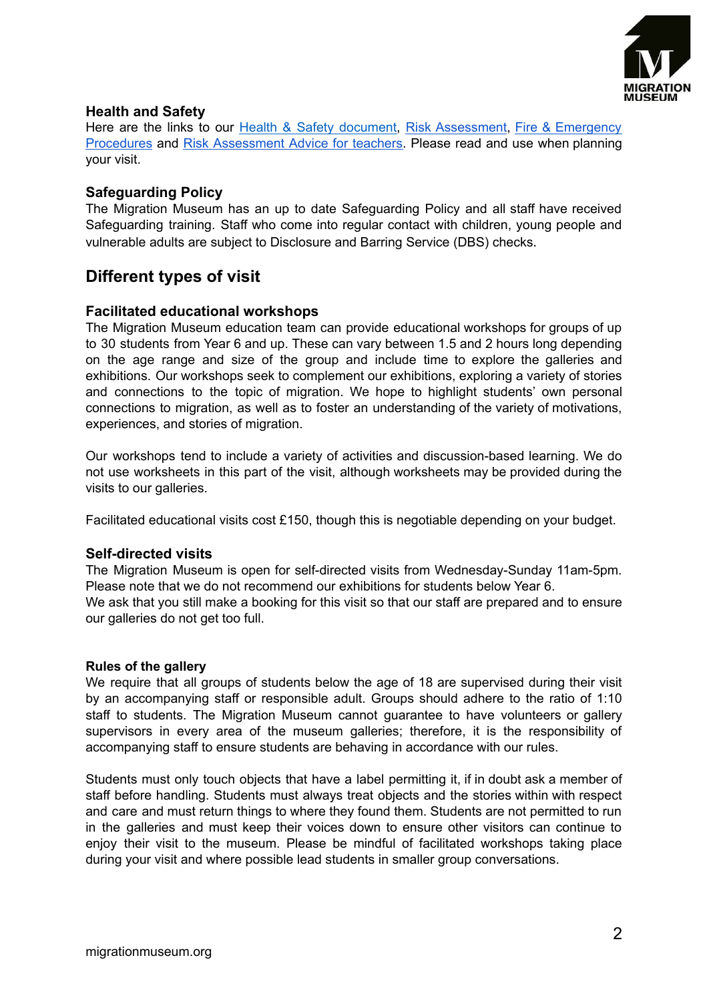

### **Health and Safety**

Here are the links to our Health & Safety [document,](https://www.migrationmuseum.org/wp-content/uploads/2022/06/Health-and-Safety-at-the-Migration-Museum-2022-converted.pdf) Risk [Assessment](https://www.migrationmuseum.org/wp-content/uploads/2022/06/Risk-Assessment-LSC-2022.pdf), Fire & [Emergency](https://www.migrationmuseum.org/wp-content/uploads/2022/06/Fire-and-Emergency-Procedures-2022-converted.pdf) [Procedures](https://www.migrationmuseum.org/wp-content/uploads/2022/06/Fire-and-Emergency-Procedures-2022-converted.pdf) and Risk [Assessment](https://www.migrationmuseum.org/wp-content/uploads/2022/06/RISK-ASSESSMENT-ADVICE-FOR-TEACHERS-2022.pdf) Advice for teachers. Please read and use when planning your visit.

### **Safeguarding Policy**

The Migration Museum has an up to date Safeguarding Policy and all staff have received Safeguarding training. Staff who come into regular contact with children, young people and vulnerable adults are subject to Disclosure and Barring Service (DBS) checks.

# **Different types of visit**

### **Facilitated educational workshops**

The Migration Museum education team can provide educational workshops for groups of up to 30 students from Year 6 and up. These can vary between 1.5 and 2 hours long depending on the age range and size of the group and include time to explore the galleries and exhibitions. Our workshops seek to complement our exhibitions, exploring a variety of stories and connections to the topic of migration. We hope to highlight students' own personal connections to migration, as well as to foster an understanding of the variety of motivations, experiences, and stories of migration.

Our workshops tend to include a variety of activities and discussion-based learning. We do not use worksheets in this part of the visit, although worksheets may be provided during the visits to our galleries.

Facilitated educational visits cost £150, though this is negotiable depending on your budget.

### **Self-directed visits**

The Migration Museum is open for self-directed visits from Wednesday-Sunday 11am-5pm. Please note that we do not recommend our exhibitions for students below Year 6. We ask that you still make a booking for this visit so that our staff are prepared and to ensure our galleries do not get too full.

#### **Rules of the gallery**

We require that all groups of students below the age of 18 are supervised during their visit by an accompanying staff or responsible adult. Groups should adhere to the ratio of 1:10 staff to students. The Migration Museum cannot guarantee to have volunteers or gallery supervisors in every area of the museum galleries; therefore, it is the responsibility of accompanying staff to ensure students are behaving in accordance with our rules.

Students must only touch objects that have a label permitting it, if in doubt ask a member of staff before handling. Students must always treat objects and the stories within with respect and care and must return things to where they found them. Students are not permitted to run in the galleries and must keep their voices down to ensure other visitors can continue to enjoy their visit to the museum. Please be mindful of facilitated workshops taking place during your visit and where possible lead students in smaller group conversations.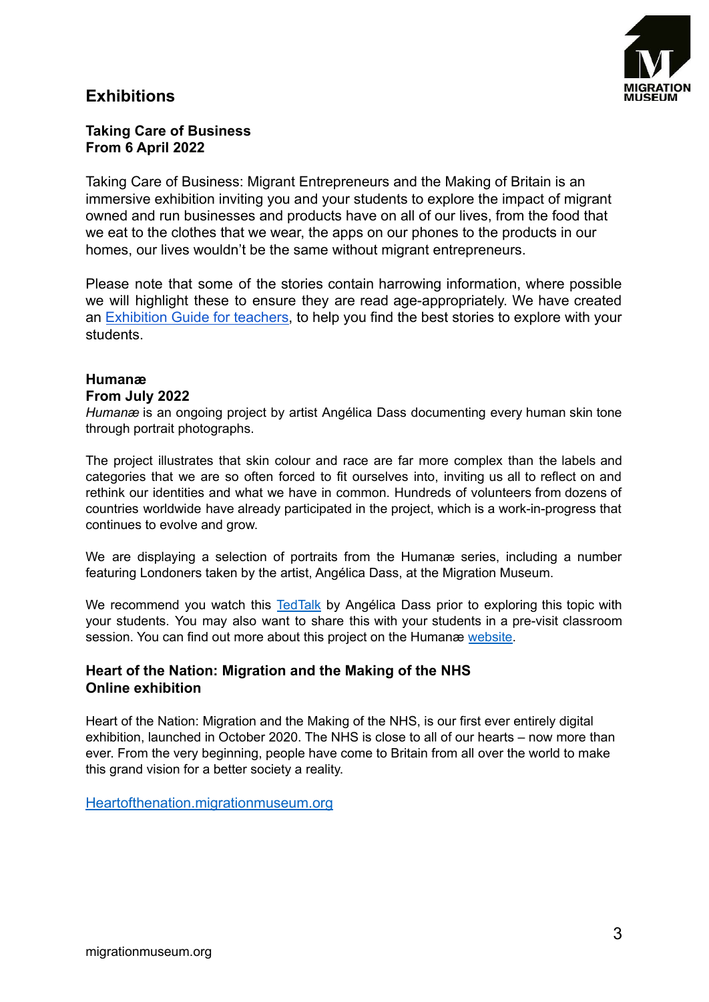# **Exhibitions**



### **Taking Care of Business From 6 April 2022**

Taking Care of Business: Migrant Entrepreneurs and the Making of Britain is an immersive exhibition inviting you and your students to explore the impact of migrant owned and run businesses and products have on all of our lives, from the food that we eat to the clothes that we wear, the apps on our phones to the products in our homes, our lives wouldn't be the same without migrant entrepreneurs.

Please note that some of the stories contain harrowing information, where possible we will highlight these to ensure they are read age-appropriately. We have created an [Exhibition](https://www.migrationmuseum.org/wp-content/uploads/2022/06/Taking-Care-of-Business-exhibition-guide-for-educators_compressed.pdf) Guide for teachers, to help you find the best stories to explore with your students.

# **Humanæ**

### **From July 2022**

*Humanæ* is an ongoing project by artist Angélica Dass documenting every human skin tone through portrait photographs.

The project illustrates that skin colour and race are far more complex than the labels and categories that we are so often forced to fit ourselves into, inviting us all to reflect on and rethink our identities and what we have in common. Hundreds of volunteers from dozens of countries worldwide have already participated in the project, which is a work-in-progress that continues to evolve and grow.

We are displaying a selection of portraits from the Humanæ series, including a number featuring Londoners taken by the artist, Angélica Dass, at the Migration Museum.

We recommend you watch this [TedTalk](https://www.ted.com/talks/angelica_dass_the_beauty_of_human_skin_in_every_color?language=en) by Angélica Dass prior to exploring this topic with your students. You may also want to share this with your students in a pre-visit classroom session. You can find out more about this project on the Humanæ [website.](https://www.angelicadass.com/humanae-project)

## **Heart of the Nation: Migration and the Making of the NHS Online exhibition**

Heart of the Nation: Migration and the Making of the NHS, is our first ever entirely digital exhibition, launched in October 2020. The NHS is close to all of our hearts – now more than ever. From the very beginning, people have come to Britain from all over the world to make this grand vision for a better society a reality.

[Heartofthenation.migrationmuseum.org](https://heartofthenation.migrationmuseum.org/)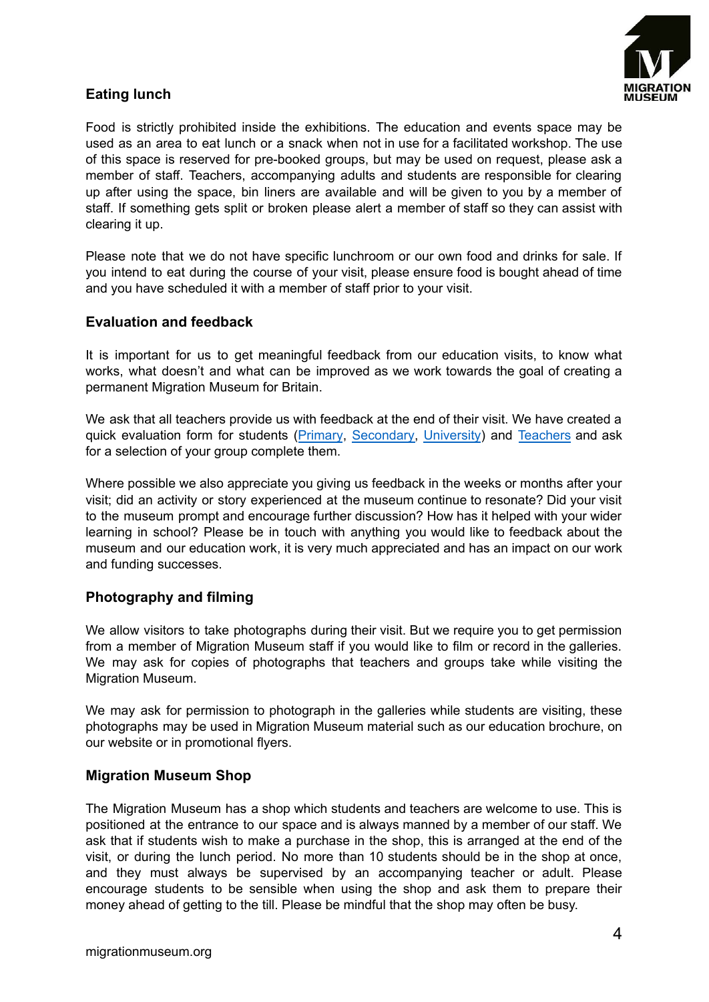

## **Eating lunch**

Food is strictly prohibited inside the exhibitions. The education and events space may be used as an area to eat lunch or a snack when not in use for a facilitated workshop. The use of this space is reserved for pre-booked groups, but may be used on request, please ask a member of staff. Teachers, accompanying adults and students are responsible for clearing up after using the space, bin liners are available and will be given to you by a member of staff. If something gets split or broken please alert a member of staff so they can assist with clearing it up.

Please note that we do not have specific lunchroom or our own food and drinks for sale. If you intend to eat during the course of your visit, please ensure food is bought ahead of time and you have scheduled it with a member of staff prior to your visit.

### **Evaluation and feedback**

It is important for us to get meaningful feedback from our education visits, to know what works, what doesn't and what can be improved as we work towards the goal of creating a permanent Migration Museum for Britain.

We ask that all teachers provide us with feedback at the end of their visit. We have created a quick evaluation form for students ([Primary](https://docs.google.com/forms/d/e/1FAIpQLSf7h-UK5kwqMez0ODoF01Nh8ZBlE332-0G8G87BQfcx2_C4lg/viewform?usp=sf_link), [Secondary,](https://docs.google.com/forms/d/e/1FAIpQLSclRQE3SQC8Rvobl312MaUnSJjg5dr-iVuR_X29owgfnHQH2w/viewform?usp=sf_link) [University](https://docs.google.com/forms/d/e/1FAIpQLSdC5guUxk8uU0SZzb21Emp8XUg5itR6vQmlx0WE7WIIy_RWvg/viewform?usp=sf_link)) and [Teachers](https://docs.google.com/forms/d/e/1FAIpQLSc1eOyBeQvTrq0HTpFtdPYY_zvZi0TJ98EQXDLB1j3AGd8-zQ/viewform?usp=sf_link) and ask for a selection of your group complete them.

Where possible we also appreciate you giving us feedback in the weeks or months after your visit; did an activity or story experienced at the museum continue to resonate? Did your visit to the museum prompt and encourage further discussion? How has it helped with your wider learning in school? Please be in touch with anything you would like to feedback about the museum and our education work, it is very much appreciated and has an impact on our work and funding successes.

### **Photography and filming**

We allow visitors to take photographs during their visit. But we require you to get permission from a member of Migration Museum staff if you would like to film or record in the galleries. We may ask for copies of photographs that teachers and groups take while visiting the Migration Museum.

We may ask for permission to photograph in the galleries while students are visiting, these photographs may be used in Migration Museum material such as our education brochure, on our website or in promotional flyers.

### **Migration Museum Shop**

The Migration Museum has a shop which students and teachers are welcome to use. This is positioned at the entrance to our space and is always manned by a member of our staff. We ask that if students wish to make a purchase in the shop, this is arranged at the end of the visit, or during the lunch period. No more than 10 students should be in the shop at once, and they must always be supervised by an accompanying teacher or adult. Please encourage students to be sensible when using the shop and ask them to prepare their money ahead of getting to the till. Please be mindful that the shop may often be busy.